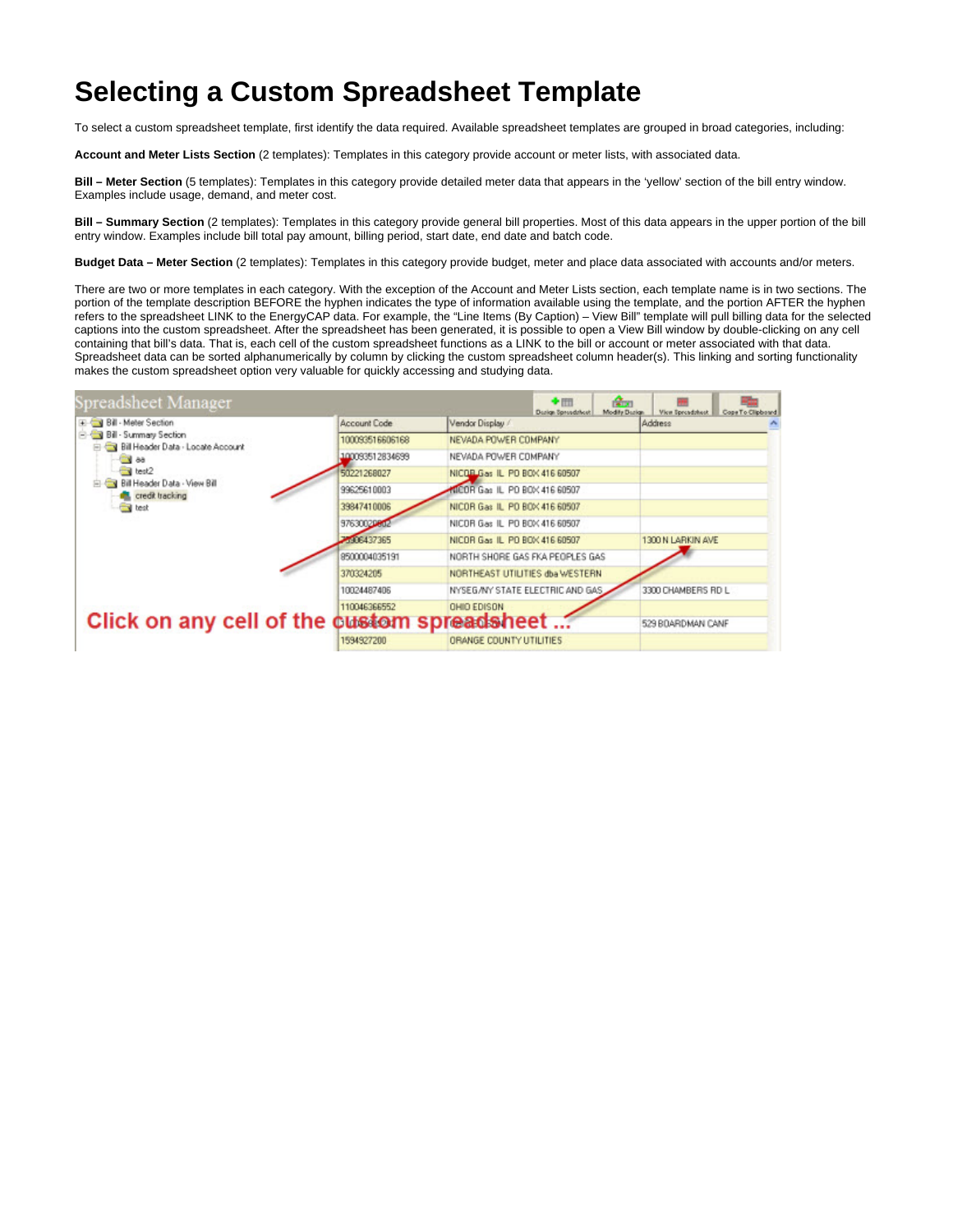## **Selecting a Custom Spreadsheet Template**

To select a custom spreadsheet template, first identify the data required. Available spreadsheet templates are grouped in broad categories, including:

**Account and Meter Lists Section** (2 templates): Templates in this category provide account or meter lists, with associated data.

**Bill – Meter Section** (5 templates): Templates in this category provide detailed meter data that appears in the 'yellow' section of the bill entry window. Examples include usage, demand, and meter cost.

**Bill – Summary Section** (2 templates): Templates in this category provide general bill properties. Most of this data appears in the upper portion of the bill entry window. Examples include bill total pay amount, billing period, start date, end date and batch code.

**Budget Data – Meter Section** (2 templates): Templates in this category provide budget, meter and place data associated with accounts and/or meters.

There are two or more templates in each category. With the exception of the Account and Meter Lists section, each template name is in two sections. The portion of the template description BEFORE the hyphen indicates the type of information available using the template, and the portion AFTER the hyphen refers to the spreadsheet LINK to the EnergyCAP data. For example, the "Line Items (By Caption) – View Bill" template will pull billing data for the selected captions into the custom spreadsheet. After the spreadsheet has been generated, it is possible to open a View Bill window by double-clicking on any cell containing that bill's data. That is, each cell of the custom spreadsheet functions as a LINK to the bill or account or meter associated with that data. Spreadsheet data can be sorted alphanumerically by column by clicking the custom spreadsheet column header(s). This linking and sorting functionality makes the custom spreadsheet option very valuable for quickly accessing and studying data.

| Spreadsheet Manager                                                                                                                                                                         |                     | $+m$<br>ni San<br>Modify Dunion<br><b>Dunian Sprundzhout</b> | View <b>Torcadohost</b><br>Cope To Clipboard |  |  |
|---------------------------------------------------------------------------------------------------------------------------------------------------------------------------------------------|---------------------|--------------------------------------------------------------|----------------------------------------------|--|--|
| <b>E</b> Bill - Meter Section<br><b>Bill</b> - Summary Section<br>Bill Header Data - Locate Account<br>$\rightarrow$ 88<br>test2<br>Bill Header Data - View Bill<br>credit tracking<br>test | <b>Account Code</b> | Vendor Display /                                             | <b>Address</b>                               |  |  |
|                                                                                                                                                                                             | 100093516606168     | NEVADA POWER COMPANY                                         |                                              |  |  |
|                                                                                                                                                                                             | 100093512834699     | NEVADA POWER COMPANY                                         |                                              |  |  |
|                                                                                                                                                                                             | 50221268027         | NICOBLGas IL PO BOX 416 60507                                |                                              |  |  |
|                                                                                                                                                                                             | 99625610003         | NICOR Gas IL PO BOX 416 60507                                |                                              |  |  |
|                                                                                                                                                                                             | 39847410006         | NICOR Gas IL PO BOX 416 60507                                |                                              |  |  |
|                                                                                                                                                                                             | 9763002080          | NICOR Gas IL PO BOX 416 60507                                |                                              |  |  |
|                                                                                                                                                                                             | 3306437365          | NICOR Gas IL PO BOX 416 60507                                | 1300 N LARKIN AVE                            |  |  |
|                                                                                                                                                                                             | 8500004035191       | NORTH SHORE GAS FKA PEOPLES GAS                              |                                              |  |  |
|                                                                                                                                                                                             | 370324205           | NORTHEAST UTILITIES dba WESTERN                              |                                              |  |  |
|                                                                                                                                                                                             | 10024487406         | NYSEG/NY STATE ELECTRIC AND GAS.                             | 3300 CHAMBERS RD L                           |  |  |
|                                                                                                                                                                                             | 110046366552        | <b>OHIO EDISON</b>                                           |                                              |  |  |
| Click on any cell of the custom spreadsheet                                                                                                                                                 |                     |                                                              | 529 BOARDMAN CANF                            |  |  |
|                                                                                                                                                                                             | 1594927200          | ORANGE COUNTY UTILITIES                                      |                                              |  |  |
|                                                                                                                                                                                             |                     |                                                              |                                              |  |  |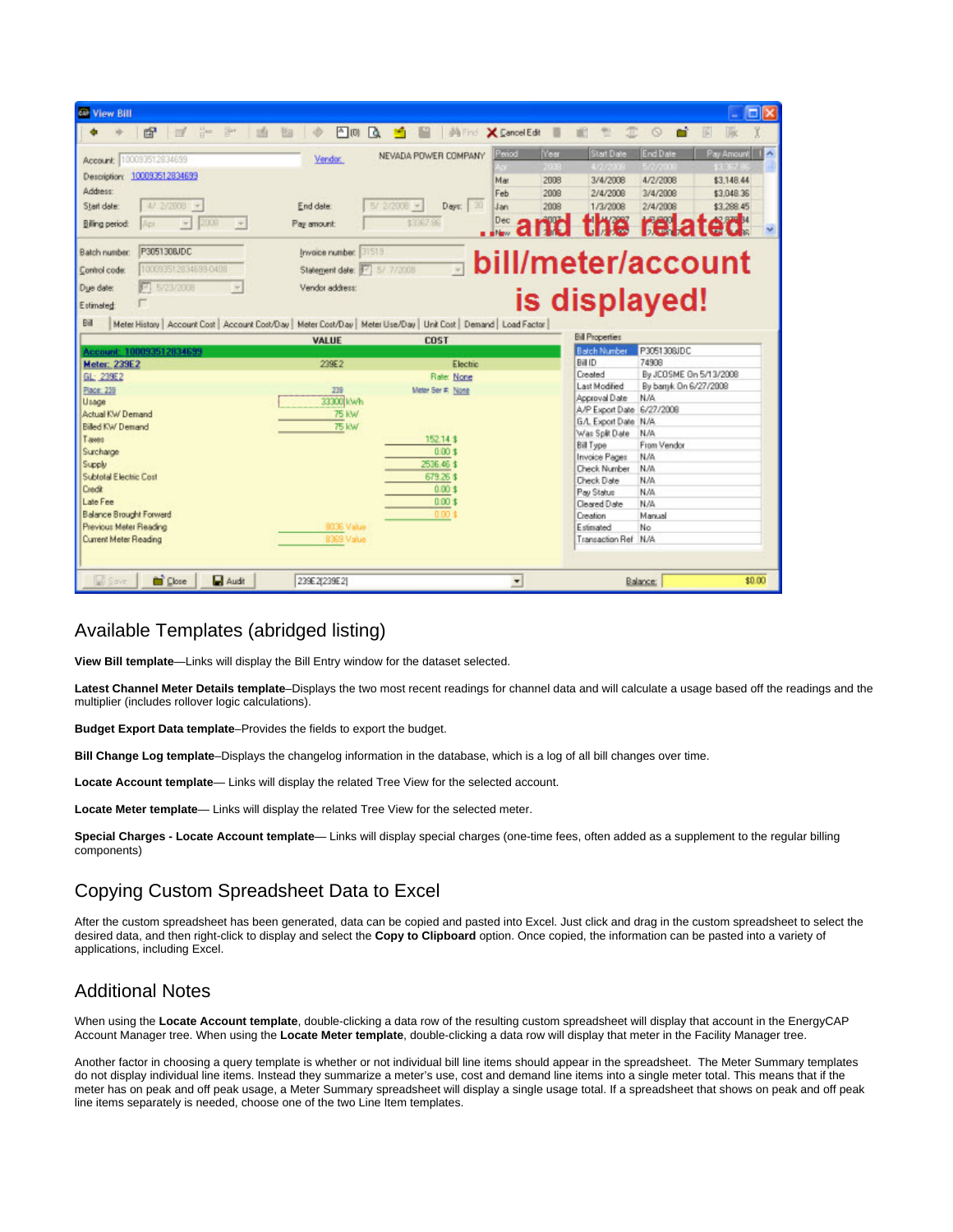| car View Bill                                                                                                               |                       |                             |                          |      |                           |                        | ol                     |  |
|-----------------------------------------------------------------------------------------------------------------------------|-----------------------|-----------------------------|--------------------------|------|---------------------------|------------------------|------------------------|--|
| 虚                                                                                                                           | 图图                    | Mi Find X Cancel Edit<br>Γά |                          |      |                           | $\circledcirc$         |                        |  |
| Account: 100093512834699                                                                                                    | Vendor.               | NEVADA POWER COMPANY        | Period                   | Year | <b>Start Date</b>         | <b>End Date</b>        | Pay Amount             |  |
|                                                                                                                             |                       |                             |                          | cone | 4/2/2003                  | 2000000                | 文化の人                   |  |
| 100093512834699<br>Description:                                                                                             |                       |                             | Mar                      | 2008 | 3/4/2008                  | 4/2/2008               | \$3,148.44             |  |
| Address:                                                                                                                    |                       |                             | Feb                      | 2008 | 2/4/2008                  | 3/4/2008               | \$3,048.36             |  |
| Start date:<br>$4/2/2008$ $+$                                                                                               | End date:             | Days:   30<br>$5/2/2008$ +  | Jan                      | 2008 | 1/3/2008                  | 2/4/2008               | \$3,288.45             |  |
| 12008<br>$\sim$<br><b>Biling period:</b>                                                                                    | Pay amount:           | \$3367.96                   | Dec:                     |      |                           |                        | 42.829.34              |  |
| Apr                                                                                                                         |                       |                             | a                        |      |                           | rei                    |                        |  |
| P3051308JDC<br>Batch number:                                                                                                | Invoice number: 31519 |                             |                          |      |                           |                        |                        |  |
| 100093512834699-0408<br>Control code:                                                                                       | Statement date:       | 7/2008                      |                          |      |                           |                        | bill/meter/account     |  |
| $F_1$ 5/23/2008<br>Due date:                                                                                                | Vendor address:       |                             |                          |      |                           |                        |                        |  |
| Estimated                                                                                                                   |                       |                             |                          |      | is displayed!             |                        |                        |  |
| Bill<br>Meter History   Account Cost   Account Cost/Day   Meter Cost/Day   Meter Use/Day   Unit Cost   Demand   Load Factor |                       |                             |                          |      |                           |                        |                        |  |
|                                                                                                                             | <b>VALUE</b>          | <b>COST</b>                 |                          |      | <b>Bill Properties</b>    |                        |                        |  |
| Account: 100093512834699                                                                                                    |                       |                             |                          |      | <b>Batch Number</b>       | P3051308JDC            |                        |  |
| <b>Meter: 239E2</b>                                                                                                         | 239E2                 | Electric                    |                          |      | <b>Bill ID</b>            | 74908                  |                        |  |
| GL: 239E2                                                                                                                   |                       | Rate: None                  |                          |      | Created                   |                        | By JCOSME On 5/13/2008 |  |
| Place: 239                                                                                                                  | 239                   | Meter Ser #: None           |                          |      | Last Modified             | By barryk On 6/27/2008 |                        |  |
| Usage                                                                                                                       | 33300 kwh             |                             |                          |      | Approval Date             | N/A                    |                        |  |
| <b>Actual KW Demand</b>                                                                                                     | <b>75 kW</b>          |                             |                          |      | A/P Export Date 6/27/2008 |                        |                        |  |
| <b>Billed KW Demand</b>                                                                                                     | <b>75 kW</b>          |                             |                          |      | G.A. Export Date N./A.    |                        |                        |  |
| Taxes                                                                                                                       |                       | 152.14 \$                   |                          |      | Was Split Date            | N/A                    |                        |  |
| Surcharge                                                                                                                   |                       | 0.003                       |                          |      | <b>Bill Type</b>          | From Vendor            |                        |  |
| Supply                                                                                                                      |                       | 2536.46 \$                  |                          |      | Invoice Pages             | N/A                    |                        |  |
| <b>Subtotal Electric Cost</b>                                                                                               |                       | 679.26 \$                   |                          |      | <b>Check Number</b>       | N/A                    |                        |  |
| Credit                                                                                                                      |                       |                             |                          |      | <b>Check Date</b>         | N/A                    |                        |  |
|                                                                                                                             |                       | 0.00 \$                     |                          |      | Pay Status                | N/A                    |                        |  |
| Late Fee                                                                                                                    |                       | 0.00 \$                     |                          |      | Cleared Date              | N/A                    |                        |  |
| <b>Balance Brought Forward</b>                                                                                              |                       | 0.00                        |                          |      | Creation                  | Manual                 |                        |  |
| Previous Meter Reading                                                                                                      | 8036 Value            |                             |                          |      | Estimated                 | No                     |                        |  |
| Current Meter Reading                                                                                                       | 8369 Value            |                             |                          |      | Transaction Ref N/A       |                        |                        |  |
|                                                                                                                             |                       |                             |                          |      |                           |                        |                        |  |
| <b>B</b> Save<br>Close<br>Audit                                                                                             | 239E2(239E2)          |                             | $\overline{\phantom{a}}$ |      |                           | Balance:               | \$0.00                 |  |

## Available Templates (abridged listing)

**View Bill template**—Links will display the Bill Entry window for the dataset selected.

**Latest Channel Meter Details template**–Displays the two most recent readings for channel data and will calculate a usage based off the readings and the multiplier (includes rollover logic calculations).

**Budget Export Data template**–Provides the fields to export the budget.

**Bill Change Log template**–Displays the changelog information in the database, which is a log of all bill changes over time.

**Locate Account template**— Links will display the related Tree View for the selected account.

**Locate Meter template**— Links will display the related Tree View for the selected meter.

**Special Charges - Locate Account template**— Links will display special charges (one-time fees, often added as a supplement to the regular billing components)

## Copying Custom Spreadsheet Data to Excel

After the custom spreadsheet has been generated, data can be copied and pasted into Excel. Just click and drag in the custom spreadsheet to select the desired data, and then right-click to display and select the **Copy to Clipboard** option. Once copied, the information can be pasted into a variety of applications, including Excel.

## Additional Notes

When using the **Locate Account template**, double-clicking a data row of the resulting custom spreadsheet will display that account in the EnergyCAP Account Manager tree. When using the **Locate Meter template**, double-clicking a data row will display that meter in the Facility Manager tree.

Another factor in choosing a query template is whether or not individual bill line items should appear in the spreadsheet. The Meter Summary templates do not display individual line items. Instead they summarize a meter's use, cost and demand line items into a single meter total. This means that if the meter has on peak and off peak usage, a Meter Summary spreadsheet will display a single usage total. If a spreadsheet that shows on peak and off peak line items separately is needed, choose one of the two Line Item templates.